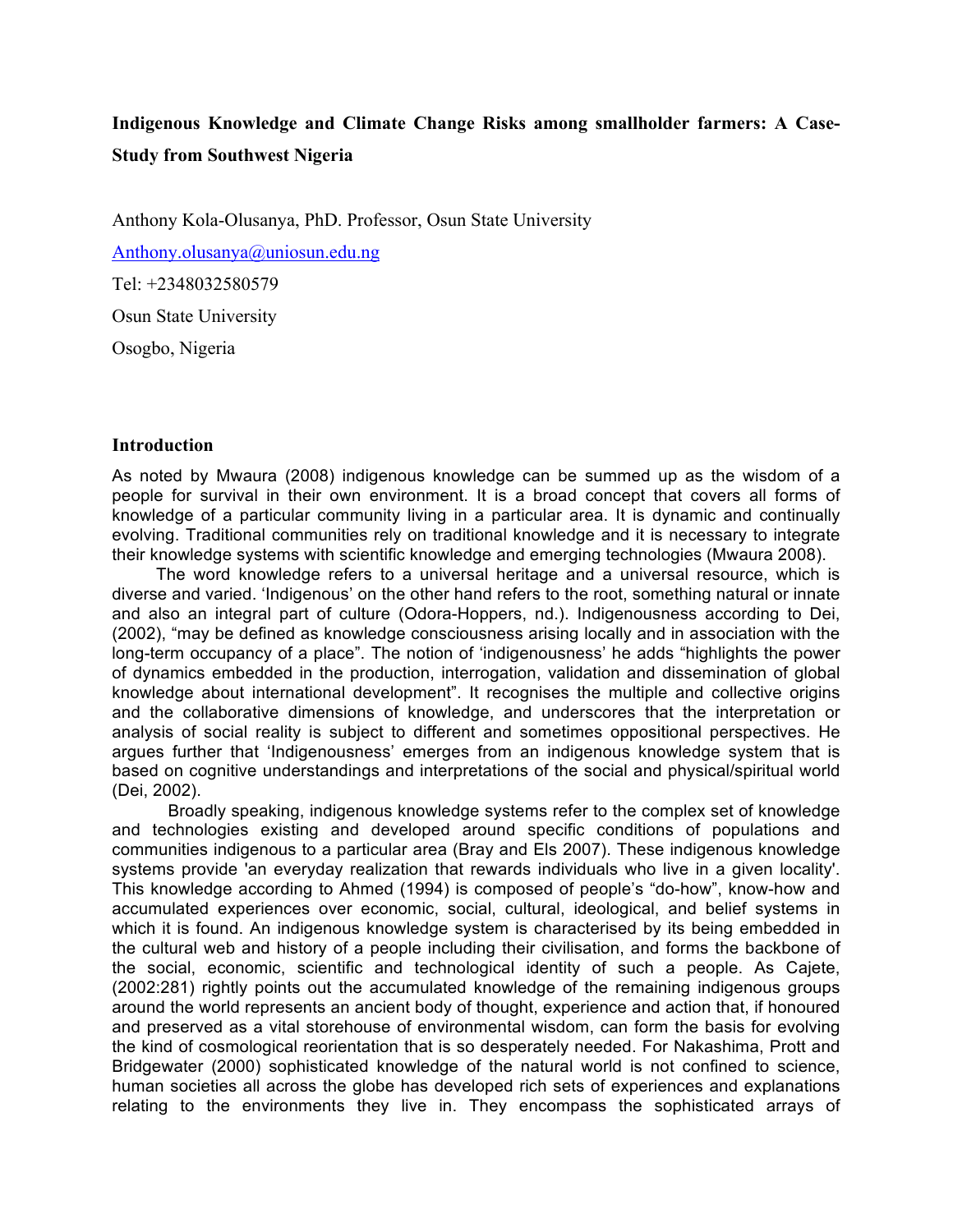# **Indigenous Knowledge and Climate Change Risks among smallholder farmers: A Case-Study from Southwest Nigeria**

Anthony Kola-Olusanya, PhD. Professor, Osun State University

Anthony.olusanya@uniosun.edu.ng

Tel: +2348032580579

Osun State University

Osogbo, Nigeria

### **Introduction**

As noted by Mwaura (2008) indigenous knowledge can be summed up as the wisdom of a people for survival in their own environment. It is a broad concept that covers all forms of knowledge of a particular community living in a particular area. It is dynamic and continually evolving. Traditional communities rely on traditional knowledge and it is necessary to integrate their knowledge systems with scientific knowledge and emerging technologies (Mwaura 2008).

The word knowledge refers to a universal heritage and a universal resource, which is diverse and varied. 'Indigenous' on the other hand refers to the root, something natural or innate and also an integral part of culture (Odora-Hoppers, nd.). Indigenousness according to Dei, (2002), "may be defined as knowledge consciousness arising locally and in association with the long-term occupancy of a place". The notion of 'indigenousness' he adds "highlights the power of dynamics embedded in the production, interrogation, validation and dissemination of global knowledge about international development". It recognises the multiple and collective origins and the collaborative dimensions of knowledge, and underscores that the interpretation or analysis of social reality is subject to different and sometimes oppositional perspectives. He argues further that 'Indigenousness' emerges from an indigenous knowledge system that is based on cognitive understandings and interpretations of the social and physical/spiritual world (Dei, 2002).

Broadly speaking, indigenous knowledge systems refer to the complex set of knowledge and technologies existing and developed around specific conditions of populations and communities indigenous to a particular area (Bray and Els 2007). These indigenous knowledge systems provide 'an everyday realization that rewards individuals who live in a given locality'. This knowledge according to Ahmed (1994) is composed of people's "do-how", know-how and accumulated experiences over economic, social, cultural, ideological, and belief systems in which it is found. An indigenous knowledge system is characterised by its being embedded in the cultural web and history of a people including their civilisation, and forms the backbone of the social, economic, scientific and technological identity of such a people. As Cajete, (2002:281) rightly points out the accumulated knowledge of the remaining indigenous groups around the world represents an ancient body of thought, experience and action that, if honoured and preserved as a vital storehouse of environmental wisdom, can form the basis for evolving the kind of cosmological reorientation that is so desperately needed. For Nakashima, Prott and Bridgewater (2000) sophisticated knowledge of the natural world is not confined to science, human societies all across the globe has developed rich sets of experiences and explanations relating to the environments they live in. They encompass the sophisticated arrays of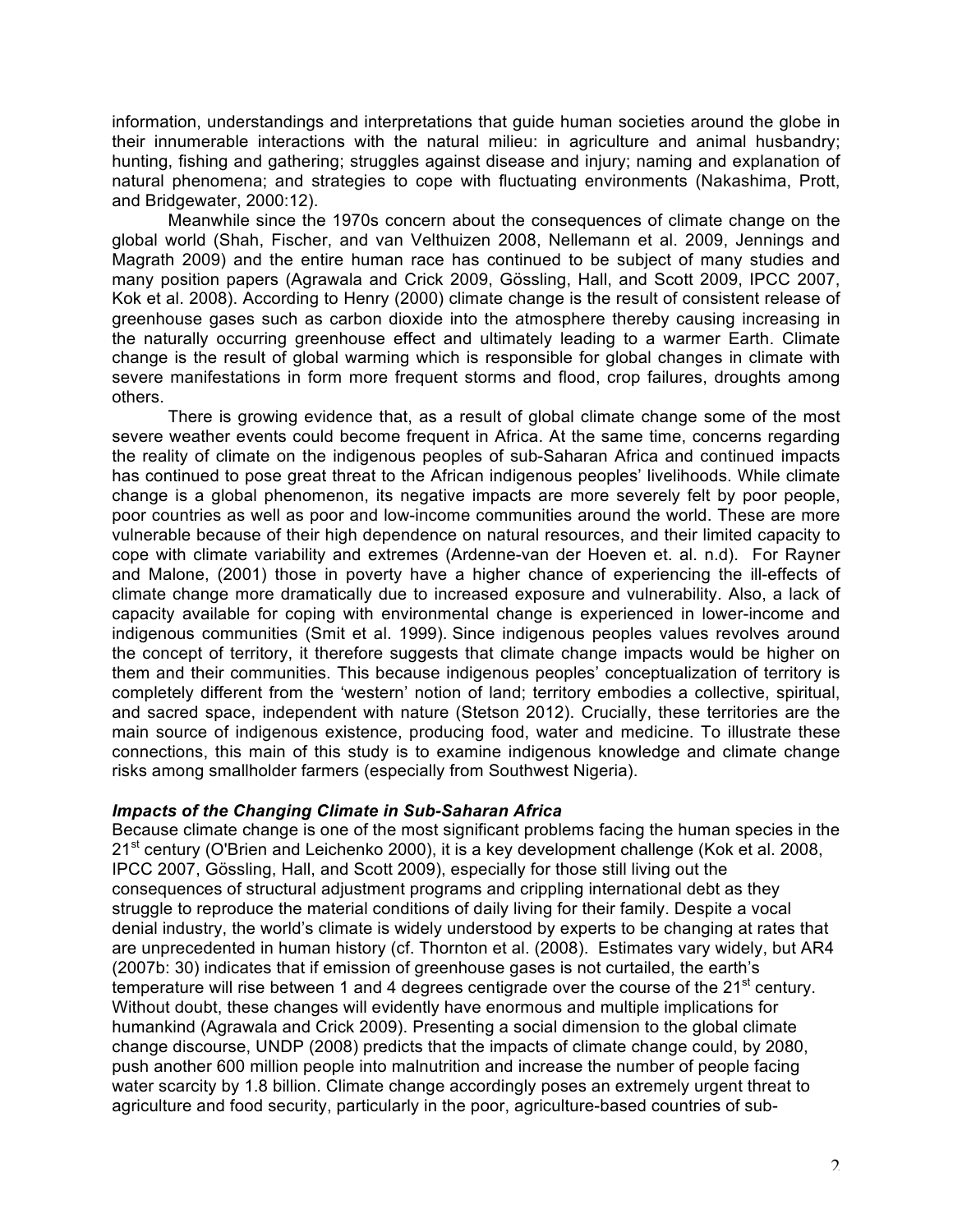information, understandings and interpretations that guide human societies around the globe in their innumerable interactions with the natural milieu: in agriculture and animal husbandry; hunting, fishing and gathering; struggles against disease and injury; naming and explanation of natural phenomena; and strategies to cope with fluctuating environments (Nakashima, Prott, and Bridgewater, 2000:12).

Meanwhile since the 1970s concern about the consequences of climate change on the global world (Shah, Fischer, and van Velthuizen 2008, Nellemann et al. 2009, Jennings and Magrath 2009) and the entire human race has continued to be subject of many studies and many position papers (Agrawala and Crick 2009, Gössling, Hall, and Scott 2009, IPCC 2007, Kok et al. 2008). According to Henry (2000) climate change is the result of consistent release of greenhouse gases such as carbon dioxide into the atmosphere thereby causing increasing in the naturally occurring greenhouse effect and ultimately leading to a warmer Earth. Climate change is the result of global warming which is responsible for global changes in climate with severe manifestations in form more frequent storms and flood, crop failures, droughts among others.

There is growing evidence that, as a result of global climate change some of the most severe weather events could become frequent in Africa. At the same time, concerns regarding the reality of climate on the indigenous peoples of sub-Saharan Africa and continued impacts has continued to pose great threat to the African indigenous peoples' livelihoods. While climate change is a global phenomenon, its negative impacts are more severely felt by poor people, poor countries as well as poor and low-income communities around the world. These are more vulnerable because of their high dependence on natural resources, and their limited capacity to cope with climate variability and extremes (Ardenne-van der Hoeven et. al. n.d). For Rayner and Malone, (2001) those in poverty have a higher chance of experiencing the ill-effects of climate change more dramatically due to increased exposure and vulnerability. Also, a lack of capacity available for coping with environmental change is experienced in lower-income and indigenous communities (Smit et al. 1999). Since indigenous peoples values revolves around the concept of territory, it therefore suggests that climate change impacts would be higher on them and their communities. This because indigenous peoples' conceptualization of territory is completely different from the 'western' notion of land; territory embodies a collective, spiritual, and sacred space, independent with nature (Stetson 2012). Crucially, these territories are the main source of indigenous existence, producing food, water and medicine. To illustrate these connections, this main of this study is to examine indigenous knowledge and climate change risks among smallholder farmers (especially from Southwest Nigeria).

### *Impacts of the Changing Climate in Sub-Saharan Africa*

Because climate change is one of the most significant problems facing the human species in the 21<sup>st</sup> century (O'Brien and Leichenko 2000), it is a key development challenge (Kok et al. 2008, IPCC 2007, Gössling, Hall, and Scott 2009), especially for those still living out the consequences of structural adjustment programs and crippling international debt as they struggle to reproduce the material conditions of daily living for their family. Despite a vocal denial industry, the world's climate is widely understood by experts to be changing at rates that are unprecedented in human history (cf. Thornton et al. (2008). Estimates vary widely, but AR4 (2007b: 30) indicates that if emission of greenhouse gases is not curtailed, the earth's temperature will rise between 1 and 4 degrees centigrade over the course of the  $21<sup>st</sup>$  century. Without doubt, these changes will evidently have enormous and multiple implications for humankind (Agrawala and Crick 2009). Presenting a social dimension to the global climate change discourse, UNDP (2008) predicts that the impacts of climate change could, by 2080, push another 600 million people into malnutrition and increase the number of people facing water scarcity by 1.8 billion. Climate change accordingly poses an extremely urgent threat to agriculture and food security, particularly in the poor, agriculture-based countries of sub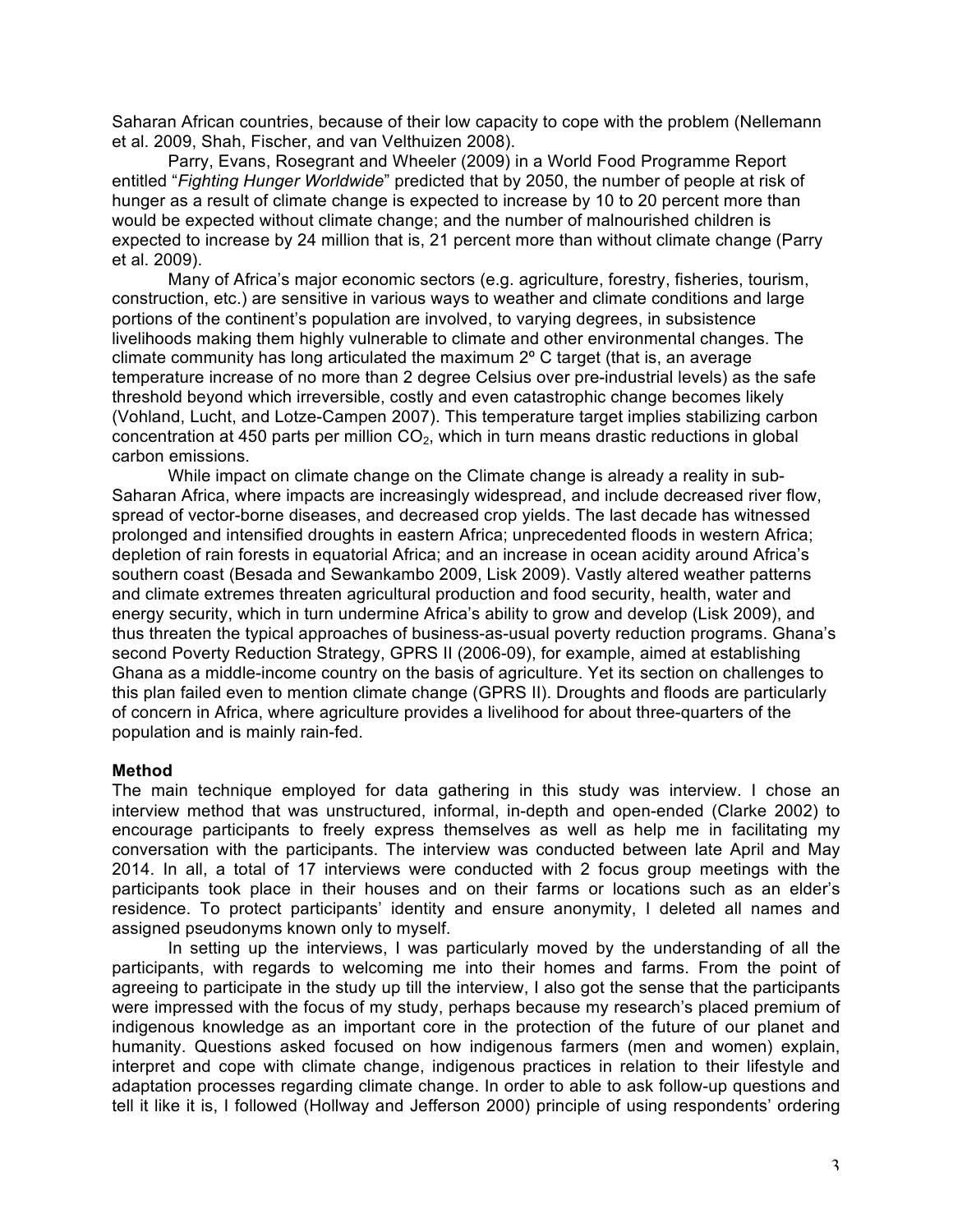Saharan African countries, because of their low capacity to cope with the problem (Nellemann et al. 2009, Shah, Fischer, and van Velthuizen 2008).

Parry, Evans, Rosegrant and Wheeler (2009) in a World Food Programme Report entitled "*Fighting Hunger Worldwide*" predicted that by 2050, the number of people at risk of hunger as a result of climate change is expected to increase by 10 to 20 percent more than would be expected without climate change; and the number of malnourished children is expected to increase by 24 million that is, 21 percent more than without climate change (Parry et al. 2009).

Many of Africa's major economic sectors (e.g. agriculture, forestry, fisheries, tourism, construction, etc.) are sensitive in various ways to weather and climate conditions and large portions of the continent's population are involved, to varying degrees, in subsistence livelihoods making them highly vulnerable to climate and other environmental changes. The climate community has long articulated the maximum 2º C target (that is, an average temperature increase of no more than 2 degree Celsius over pre-industrial levels) as the safe threshold beyond which irreversible, costly and even catastrophic change becomes likely (Vohland, Lucht, and Lotze-Campen 2007). This temperature target implies stabilizing carbon concentration at 450 parts per million  $CO<sub>2</sub>$ , which in turn means drastic reductions in global carbon emissions.

While impact on climate change on the Climate change is already a reality in sub-Saharan Africa, where impacts are increasingly widespread, and include decreased river flow, spread of vector-borne diseases, and decreased crop yields. The last decade has witnessed prolonged and intensified droughts in eastern Africa; unprecedented floods in western Africa; depletion of rain forests in equatorial Africa; and an increase in ocean acidity around Africa's southern coast (Besada and Sewankambo 2009, Lisk 2009). Vastly altered weather patterns and climate extremes threaten agricultural production and food security, health, water and energy security, which in turn undermine Africa's ability to grow and develop (Lisk 2009), and thus threaten the typical approaches of business-as-usual poverty reduction programs. Ghana's second Poverty Reduction Strategy, GPRS II (2006-09), for example, aimed at establishing Ghana as a middle-income country on the basis of agriculture. Yet its section on challenges to this plan failed even to mention climate change (GPRS II). Droughts and floods are particularly of concern in Africa, where agriculture provides a livelihood for about three-quarters of the population and is mainly rain-fed.

### **Method**

The main technique employed for data gathering in this study was interview. I chose an interview method that was unstructured, informal, in-depth and open-ended (Clarke 2002) to encourage participants to freely express themselves as well as help me in facilitating my conversation with the participants. The interview was conducted between late April and May 2014. In all, a total of 17 interviews were conducted with 2 focus group meetings with the participants took place in their houses and on their farms or locations such as an elder's residence. To protect participants' identity and ensure anonymity, I deleted all names and assigned pseudonyms known only to myself.

In setting up the interviews, I was particularly moved by the understanding of all the participants, with regards to welcoming me into their homes and farms. From the point of agreeing to participate in the study up till the interview, I also got the sense that the participants were impressed with the focus of my study, perhaps because my research's placed premium of indigenous knowledge as an important core in the protection of the future of our planet and humanity. Questions asked focused on how indigenous farmers (men and women) explain, interpret and cope with climate change, indigenous practices in relation to their lifestyle and adaptation processes regarding climate change. In order to able to ask follow-up questions and tell it like it is, I followed (Hollway and Jefferson 2000) principle of using respondents' ordering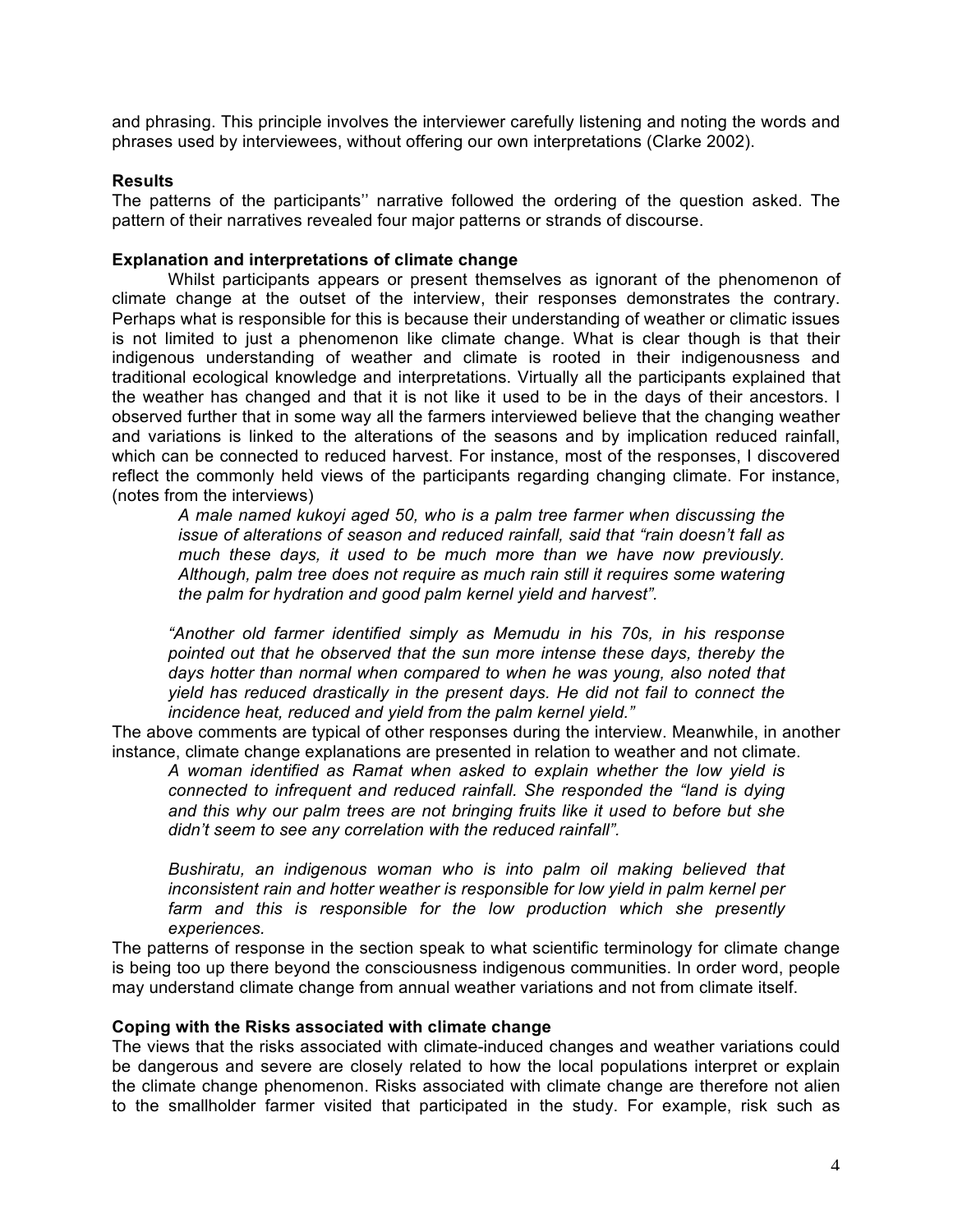and phrasing. This principle involves the interviewer carefully listening and noting the words and phrases used by interviewees, without offering our own interpretations (Clarke 2002).

## **Results**

The patterns of the participants'' narrative followed the ordering of the question asked. The pattern of their narratives revealed four major patterns or strands of discourse.

## **Explanation and interpretations of climate change**

Whilst participants appears or present themselves as ignorant of the phenomenon of climate change at the outset of the interview, their responses demonstrates the contrary. Perhaps what is responsible for this is because their understanding of weather or climatic issues is not limited to just a phenomenon like climate change. What is clear though is that their indigenous understanding of weather and climate is rooted in their indigenousness and traditional ecological knowledge and interpretations. Virtually all the participants explained that the weather has changed and that it is not like it used to be in the days of their ancestors. I observed further that in some way all the farmers interviewed believe that the changing weather and variations is linked to the alterations of the seasons and by implication reduced rainfall, which can be connected to reduced harvest. For instance, most of the responses, I discovered reflect the commonly held views of the participants regarding changing climate. For instance, (notes from the interviews)

*A male named kukoyi aged 50, who is a palm tree farmer when discussing the issue of alterations of season and reduced rainfall, said that "rain doesn't fall as much these days, it used to be much more than we have now previously. Although, palm tree does not require as much rain still it requires some watering the palm for hydration and good palm kernel yield and harvest".*

*"Another old farmer identified simply as Memudu in his 70s, in his response pointed out that he observed that the sun more intense these days, thereby the days hotter than normal when compared to when he was young, also noted that yield has reduced drastically in the present days. He did not fail to connect the incidence heat, reduced and yield from the palm kernel yield."*

The above comments are typical of other responses during the interview. Meanwhile, in another instance, climate change explanations are presented in relation to weather and not climate.

*A woman identified as Ramat when asked to explain whether the low yield is connected to infrequent and reduced rainfall. She responded the "land is dying and this why our palm trees are not bringing fruits like it used to before but she didn't seem to see any correlation with the reduced rainfall".*

*Bushiratu, an indigenous woman who is into palm oil making believed that inconsistent rain and hotter weather is responsible for low yield in palm kernel per*  farm and this is responsible for the low production which she presently *experiences.*

The patterns of response in the section speak to what scientific terminology for climate change is being too up there beyond the consciousness indigenous communities. In order word, people may understand climate change from annual weather variations and not from climate itself.

## **Coping with the Risks associated with climate change**

The views that the risks associated with climate-induced changes and weather variations could be dangerous and severe are closely related to how the local populations interpret or explain the climate change phenomenon. Risks associated with climate change are therefore not alien to the smallholder farmer visited that participated in the study. For example, risk such as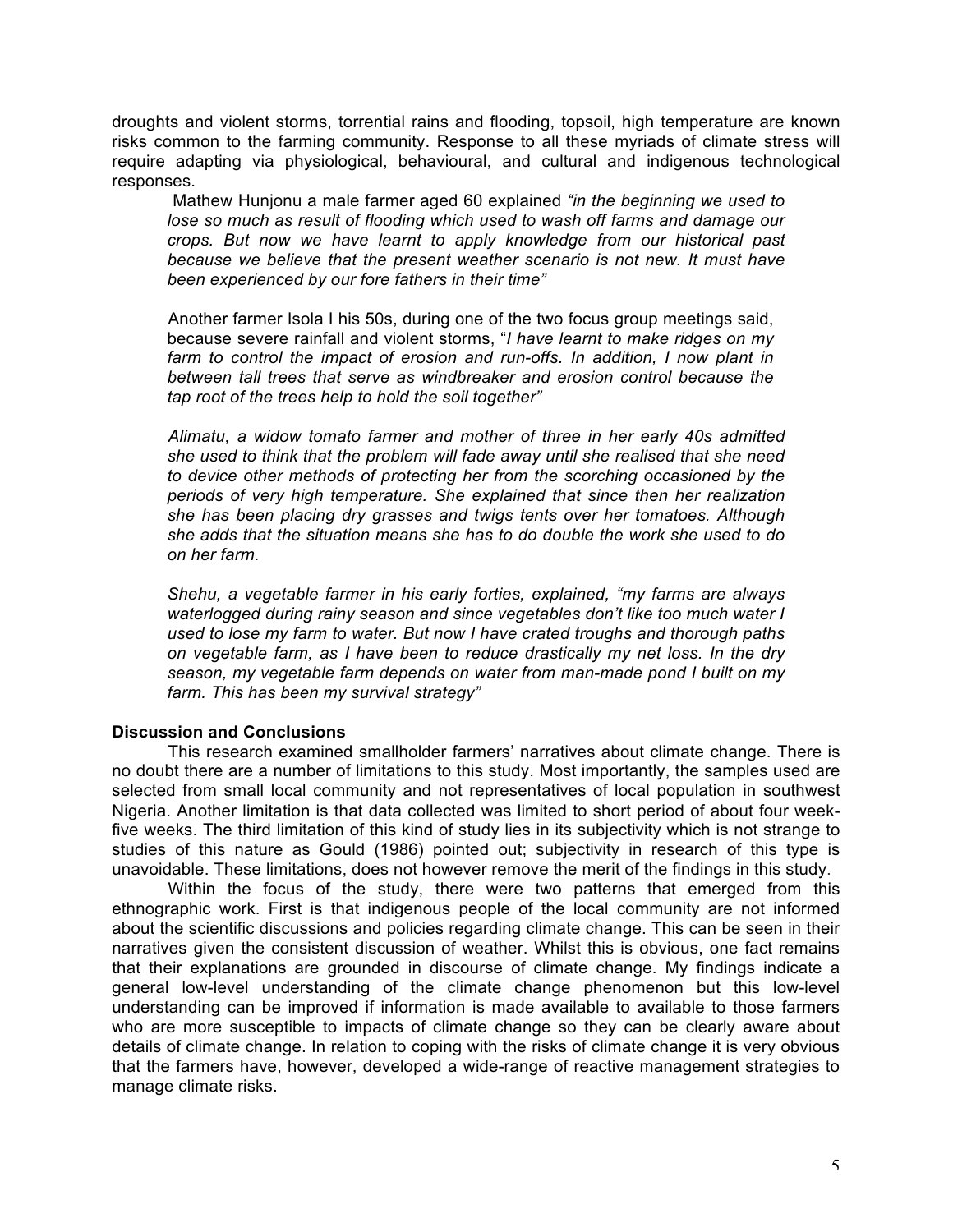droughts and violent storms, torrential rains and flooding, topsoil, high temperature are known risks common to the farming community. Response to all these myriads of climate stress will require adapting via physiological, behavioural, and cultural and indigenous technological responses.

Mathew Hunjonu a male farmer aged 60 explained *"in the beginning we used to lose so much as result of flooding which used to wash off farms and damage our crops. But now we have learnt to apply knowledge from our historical past because we believe that the present weather scenario is not new. It must have been experienced by our fore fathers in their time"*

Another farmer Isola I his 50s, during one of the two focus group meetings said, because severe rainfall and violent storms, "*I have learnt to make ridges on my*  farm to control the impact of erosion and run-offs. In addition, I now plant in *between tall trees that serve as windbreaker and erosion control because the tap root of the trees help to hold the soil together"*

*Alimatu, a widow tomato farmer and mother of three in her early 40s admitted she used to think that the problem will fade away until she realised that she need to device other methods of protecting her from the scorching occasioned by the periods of very high temperature. She explained that since then her realization she has been placing dry grasses and twigs tents over her tomatoes. Although she adds that the situation means she has to do double the work she used to do on her farm.*

*Shehu, a vegetable farmer in his early forties, explained, "my farms are always waterlogged during rainy season and since vegetables don't like too much water I used to lose my farm to water. But now I have crated troughs and thorough paths on vegetable farm, as I have been to reduce drastically my net loss. In the dry season, my vegetable farm depends on water from man-made pond I built on my farm. This has been my survival strategy"*

### **Discussion and Conclusions**

This research examined smallholder farmers' narratives about climate change. There is no doubt there are a number of limitations to this study. Most importantly, the samples used are selected from small local community and not representatives of local population in southwest Nigeria. Another limitation is that data collected was limited to short period of about four weekfive weeks. The third limitation of this kind of study lies in its subjectivity which is not strange to studies of this nature as Gould (1986) pointed out; subjectivity in research of this type is unavoidable. These limitations, does not however remove the merit of the findings in this study.

Within the focus of the study, there were two patterns that emerged from this ethnographic work. First is that indigenous people of the local community are not informed about the scientific discussions and policies regarding climate change. This can be seen in their narratives given the consistent discussion of weather. Whilst this is obvious, one fact remains that their explanations are grounded in discourse of climate change. My findings indicate a general low-level understanding of the climate change phenomenon but this low-level understanding can be improved if information is made available to available to those farmers who are more susceptible to impacts of climate change so they can be clearly aware about details of climate change. In relation to coping with the risks of climate change it is very obvious that the farmers have, however, developed a wide-range of reactive management strategies to manage climate risks.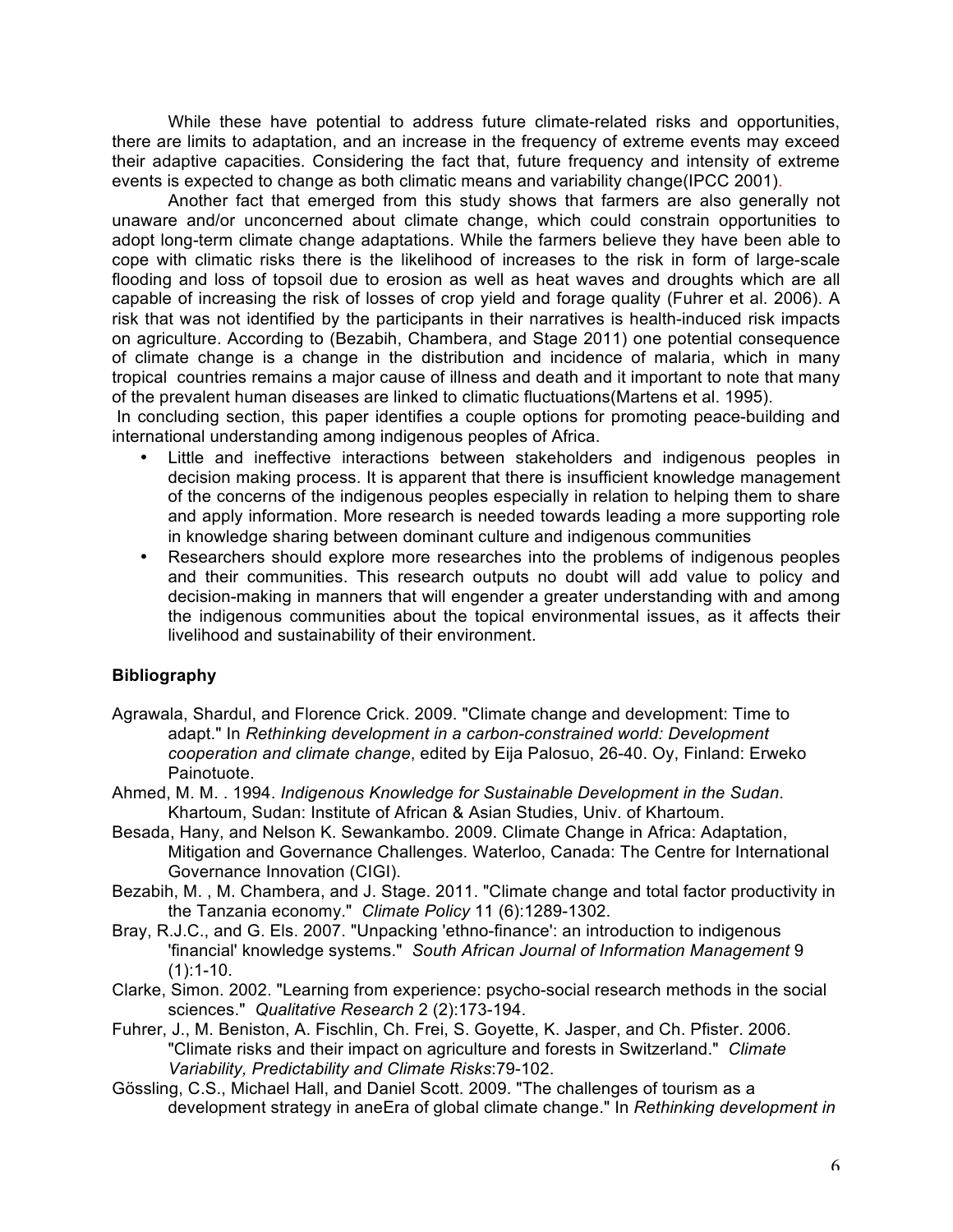While these have potential to address future climate-related risks and opportunities, there are limits to adaptation, and an increase in the frequency of extreme events may exceed their adaptive capacities. Considering the fact that, future frequency and intensity of extreme events is expected to change as both climatic means and variability change(IPCC 2001).

Another fact that emerged from this study shows that farmers are also generally not unaware and/or unconcerned about climate change, which could constrain opportunities to adopt long-term climate change adaptations. While the farmers believe they have been able to cope with climatic risks there is the likelihood of increases to the risk in form of large-scale flooding and loss of topsoil due to erosion as well as heat waves and droughts which are all capable of increasing the risk of losses of crop yield and forage quality (Fuhrer et al. 2006). A risk that was not identified by the participants in their narratives is health-induced risk impacts on agriculture. According to (Bezabih, Chambera, and Stage 2011) one potential consequence of climate change is a change in the distribution and incidence of malaria, which in many tropical countries remains a major cause of illness and death and it important to note that many of the prevalent human diseases are linked to climatic fluctuations(Martens et al. 1995).

In concluding section, this paper identifies a couple options for promoting peace-building and international understanding among indigenous peoples of Africa.

- Little and ineffective interactions between stakeholders and indigenous peoples in decision making process. It is apparent that there is insufficient knowledge management of the concerns of the indigenous peoples especially in relation to helping them to share and apply information. More research is needed towards leading a more supporting role in knowledge sharing between dominant culture and indigenous communities
- Researchers should explore more researches into the problems of indigenous peoples and their communities. This research outputs no doubt will add value to policy and decision-making in manners that will engender a greater understanding with and among the indigenous communities about the topical environmental issues, as it affects their livelihood and sustainability of their environment.

## **Bibliography**

- Agrawala, Shardul, and Florence Crick. 2009. "Climate change and development: Time to adapt." In *Rethinking development in a carbon-constrained world: Development cooperation and climate change*, edited by Eija Palosuo, 26-40. Oy, Finland: Erweko Painotuote.
- Ahmed, M. M. . 1994. *Indigenous Knowledge for Sustainable Development in the Sudan*. Khartoum, Sudan: Institute of African & Asian Studies, Univ. of Khartoum.
- Besada, Hany, and Nelson K. Sewankambo. 2009. Climate Change in Africa: Adaptation, Mitigation and Governance Challenges. Waterloo, Canada: The Centre for International Governance Innovation (CIGI).
- Bezabih, M. , M. Chambera, and J. Stage. 2011. "Climate change and total factor productivity in the Tanzania economy." *Climate Policy* 11 (6):1289-1302.
- Bray, R.J.C., and G. Els. 2007. "Unpacking 'ethno-finance': an introduction to indigenous 'financial' knowledge systems." *South African Journal of Information Management* 9  $(1):1-10.$
- Clarke, Simon. 2002. "Learning from experience: psycho-social research methods in the social sciences." *Qualitative Research* 2 (2):173-194.
- Fuhrer, J., M. Beniston, A. Fischlin, Ch. Frei, S. Goyette, K. Jasper, and Ch. Pfister. 2006. "Climate risks and their impact on agriculture and forests in Switzerland." *Climate Variability, Predictability and Climate Risks*:79-102.
- Gössling, C.S., Michael Hall, and Daniel Scott. 2009. "The challenges of tourism as a development strategy in aneEra of global climate change." In *Rethinking development in*